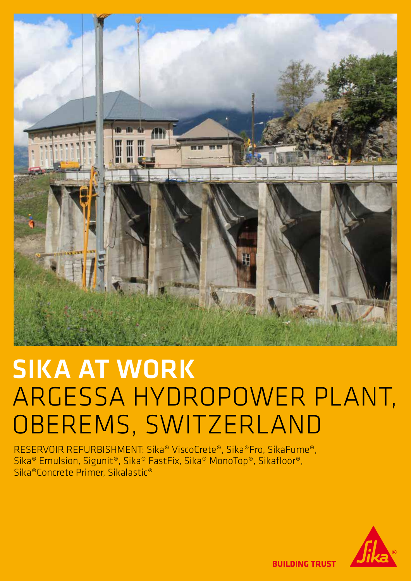

# SIKA AT WORK ARGESSA HYDROPOWER PLANT, OBEREMS, SWITZERLAND

RESERVOIR REFURBISHMENT: Sika® ViscoCrete®, Sika®Fro, SikaFume®, Sika® Emulsion, Sigunit®, Sika® FastFix, Sika® MonoTop®, Sikafloor®, Sika®Concrete Primer, Sikalastic®



**BUILDING TRUST**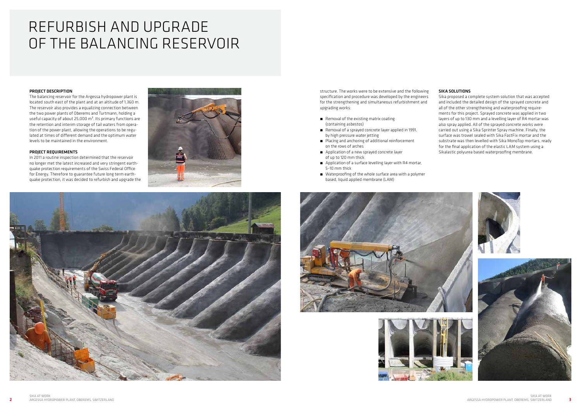#### PROJECT DESCRIPTION

The balancing reservoir for the Argessa hydropower plant is located south east of the plant and at an altitude of 1,360 m. The reservoir also provides a equalizing connection between the two power plants of Oberems and Turtmann, holding a useful capacity of about 25,000  $m<sup>3</sup>$ . Its primary functions are the retention and interim storage of tail waters from operation of the power plant, allowing the operations to be regulated at times of different demand and the optimum water levels to be maintained in the environment.

#### PROJECT REQUIREMENTS

- Removal of the existing matrix coating (containing asbestos)
- Removal of a sprayed concrete layer applied in 1991, by high pressure water jetting
- Placing and anchoring of additional reinforcement on the rows of arches
- Application of a new sprayed concrete layer of up to 120 mm thick
- Application of a surface levelling layer with R4 mortar, 5–10 mm thick
- Waterproofing of the whole surface area with a polymer based, liquid applied membrane (LAM)





In 2011 a routine inspection determined that the reservoir no longer met the latest increased and very stringent earthquake protection requirements of the Swiss Federal Office for Energy. Therefore to guarantee future long term earthquake protection, it was decided to refurbish and upgrade the





structure. The works were to be extensive and the following specification and procedure was developed by the engineers for the strengthening and simultaneous refurbishment and upgrading works:

#### SIKA SOLUTIONS

Sika proposed a complete system solution that was accepted and included the detailed design of the sprayed concrete and all of the other strengthening and waterproofing requirements for this project. Sprayed concrete was applied in two layers of up to 130 mm and a levelling layer of R4 mortar was also spray applied. All of the sprayed concrete works were carried out using a Sika Sprinter Spray machine. Finally, the surface was trowel sealed with Sika FastFix mortar and the substrate was then levelled with Sika MonoTop mortars, ready for the final application of the elastic LAM system using a Sikalastic polyurea based waterproofing membrane.

# REFURBISH AND UPGRADE OF THE BALANCING RESERVOIR